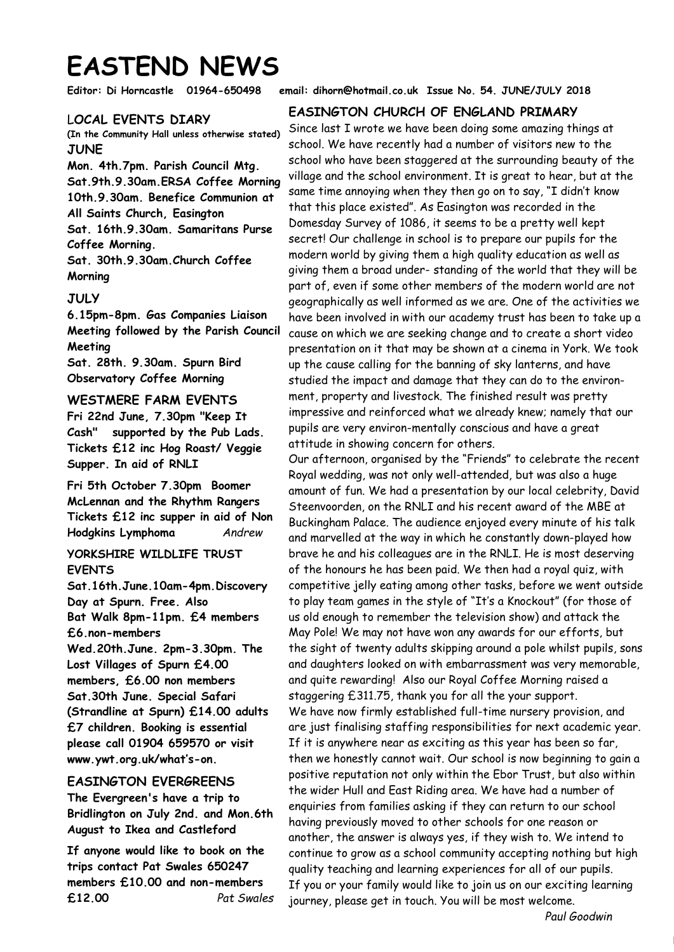# **EASTEND NEWS**

### L**OCAL EVENTS DIARY**

**(In the Community Hall unless otherwise stated) JUNE** 

**Mon. 4th.7pm. Parish Council Mtg. Sat.9th.9.30am.ERSA Coffee Morning 10th.9.30am. Benefice Communion at All Saints Church, Easington Sat. 16th.9.30am. Samaritans Purse Coffee Morning. Sat. 30th.9.30am.Church Coffee Morning** 

## **JULY**

**6.15pm-8pm. Gas Companies Liaison Meeting followed by the Parish Council Meeting Sat. 28th. 9.30am. Spurn Bird Observatory Coffee Morning** 

### **WESTMERE FARM EVENTS**

**Fri 22nd June, 7.30pm "Keep It Cash" supported by the Pub Lads. Tickets £12 inc Hog Roast/ Veggie Supper. In aid of RNLI**

**Fri 5th October 7.30pm Boomer McLennan and the Rhythm Rangers Tickets £12 inc supper in aid of Non Hodgkins Lymphoma** *Andrew*

## **YORKSHIRE WILDLIFE TRUST EVENTS**

**Sat.16th.June.10am-4pm.Discovery Day at Spurn. Free. Also Bat Walk 8pm-11pm. £4 members £6.non-members** 

**Wed.20th.June. 2pm-3.30pm. The Lost Villages of Spurn £4.00 members, £6.00 non members Sat.30th June. Special Safari (Strandline at Spurn) £14.00 adults £7 children. Booking is essential please call 01904 659570 or visit www.ywt.org.uk/what's-on.** 

## **EASINGTON EVERGREENS**

**The Evergreen's have a trip to Bridlington on July 2nd. and Mon.6th August to Ikea and Castleford**

**If anyone would like to book on the trips contact Pat Swales 650247 members £10.00 and non-members £12.00** *Pat Swales*

**Editor: Di Horncastle 01964-650498 email: dihorn@hotmail.co.uk Issue No. 54. JUNE/JULY 2018** 

## **EASINGTON CHURCH OF ENGLAND PRIMARY**

Since last I wrote we have been doing some amazing things at school. We have recently had a number of visitors new to the school who have been staggered at the surrounding beauty of the village and the school environment. It is great to hear, but at the same time annoying when they then go on to say, "I didn't know that this place existed". As Easington was recorded in the Domesday Survey of 1086, it seems to be a pretty well kept secret! Our challenge in school is to prepare our pupils for the modern world by giving them a high quality education as well as giving them a broad under- standing of the world that they will be part of, even if some other members of the modern world are not geographically as well informed as we are. One of the activities we have been involved in with our academy trust has been to take up a cause on which we are seeking change and to create a short video presentation on it that may be shown at a cinema in York. We took up the cause calling for the banning of sky lanterns, and have studied the impact and damage that they can do to the environment, property and livestock. The finished result was pretty impressive and reinforced what we already knew; namely that our pupils are very environ-mentally conscious and have a great attitude in showing concern for others.

Our afternoon, organised by the "Friends" to celebrate the recent Royal wedding, was not only well-attended, but was also a huge amount of fun. We had a presentation by our local celebrity, David Steenvoorden, on the RNLI and his recent award of the MBE at Buckingham Palace. The audience enjoyed every minute of his talk and marvelled at the way in which he constantly down-played how brave he and his colleagues are in the RNLI. He is most deserving of the honours he has been paid. We then had a royal quiz, with competitive jelly eating among other tasks, before we went outside to play team games in the style of "It's a Knockout" (for those of us old enough to remember the television show) and attack the May Pole! We may not have won any awards for our efforts, but the sight of twenty adults skipping around a pole whilst pupils, sons and daughters looked on with embarrassment was very memorable, and quite rewarding! Also our Royal Coffee Morning raised a staggering £311.75, thank you for all the your support. We have now firmly established full-time nursery provision, and are just finalising staffing responsibilities for next academic year. If it is anywhere near as exciting as this year has been so far, then we honestly cannot wait. Our school is now beginning to gain a positive reputation not only within the Ebor Trust, but also within the wider Hull and East Riding area. We have had a number of enquiries from families asking if they can return to our school having previously moved to other schools for one reason or another, the answer is always yes, if they wish to. We intend to continue to grow as a school community accepting nothing but high quality teaching and learning experiences for all of our pupils. If you or your family would like to join us on our exciting learning journey, please get in touch. You will be most welcome.